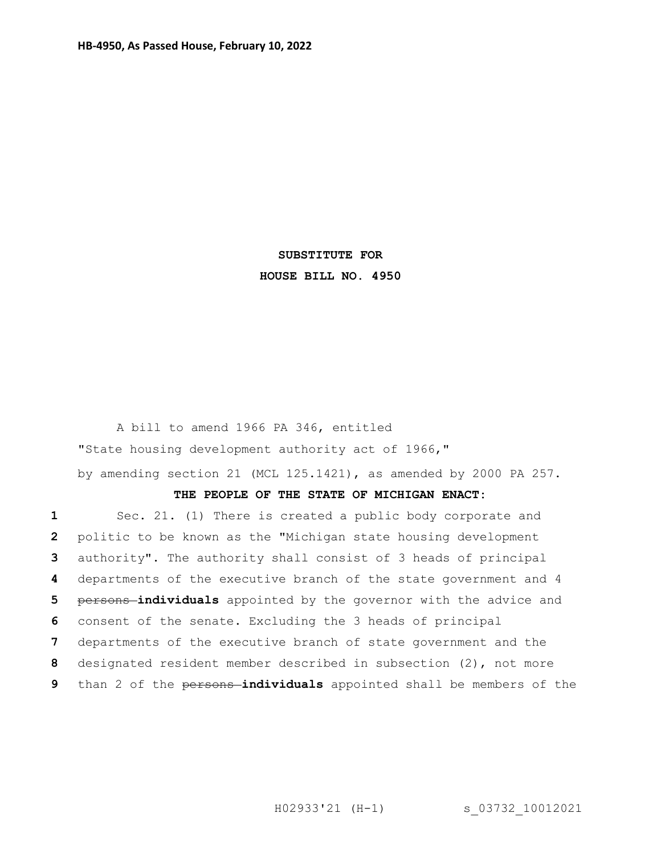## **SUBSTITUTE FOR HOUSE BILL NO. 4950**

A bill to amend 1966 PA 346, entitled "State housing development authority act of 1966," by amending section 21 (MCL 125.1421), as amended by 2000 PA 257.

## **THE PEOPLE OF THE STATE OF MICHIGAN ENACT:**

 Sec. 21. (1) There is created a public body corporate and politic to be known as the "Michigan state housing development authority". The authority shall consist of 3 heads of principal departments of the executive branch of the state government and 4 persons **individuals** appointed by the governor with the advice and consent of the senate. Excluding the 3 heads of principal departments of the executive branch of state government and the designated resident member described in subsection (2), not more than 2 of the persons **individuals** appointed shall be members of the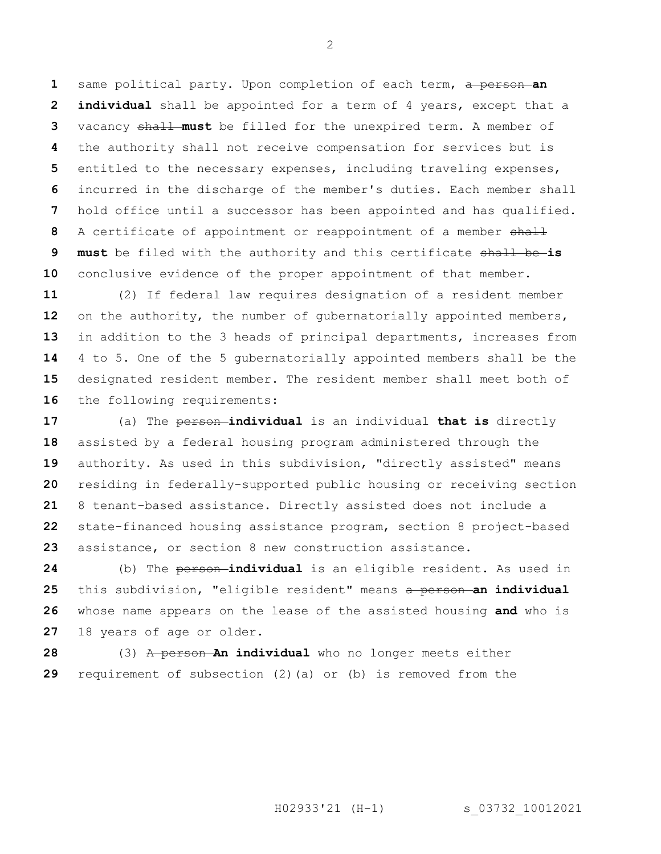same political party. Upon completion of each term, a person **an individual** shall be appointed for a term of 4 years, except that a vacancy shall **must** be filled for the unexpired term. A member of the authority shall not receive compensation for services but is entitled to the necessary expenses, including traveling expenses, incurred in the discharge of the member's duties. Each member shall hold office until a successor has been appointed and has qualified. A certificate of appointment or reappointment of a member shall **must** be filed with the authority and this certificate shall be **is**  conclusive evidence of the proper appointment of that member.

 (2) If federal law requires designation of a resident member 12 on the authority, the number of gubernatorially appointed members, in addition to the 3 heads of principal departments, increases from 4 to 5. One of the 5 gubernatorially appointed members shall be the designated resident member. The resident member shall meet both of 16 the following requirements:

 (a) The person **individual** is an individual **that is** directly assisted by a federal housing program administered through the authority. As used in this subdivision, "directly assisted" means residing in federally-supported public housing or receiving section 8 tenant-based assistance. Directly assisted does not include a state-financed housing assistance program, section 8 project-based assistance, or section 8 new construction assistance.

 (b) The person **individual** is an eligible resident. As used in this subdivision, "eligible resident" means a person **an individual**  whose name appears on the lease of the assisted housing **and** who is 18 years of age or older.

 (3) A person **An individual** who no longer meets either requirement of subsection (2)(a) or (b) is removed from the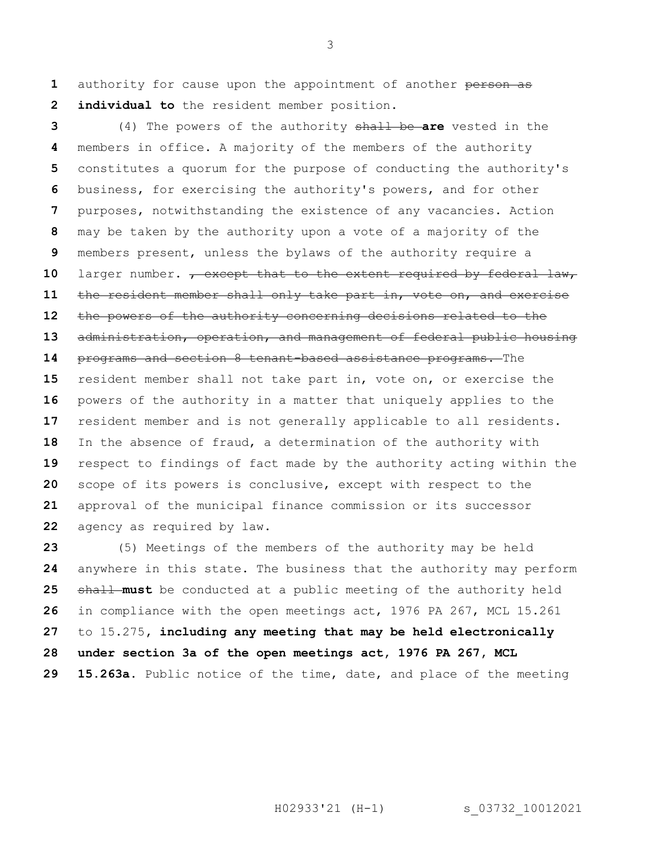authority for cause upon the appointment of another person as **individual to** the resident member position.

 (4) The powers of the authority shall be **are** vested in the members in office. A majority of the members of the authority constitutes a quorum for the purpose of conducting the authority's business, for exercising the authority's powers, and for other purposes, notwithstanding the existence of any vacancies. Action may be taken by the authority upon a vote of a majority of the members present, unless the bylaws of the authority require a 10 larger number. <del>, except that to the extent required by federal law,</del> the resident member shall only take part in, vote on, and exercise the powers of the authority concerning decisions related to the administration, operation, and management of federal public housing programs and section 8 tenant-based assistance programs. The resident member shall not take part in, vote on, or exercise the powers of the authority in a matter that uniquely applies to the resident member and is not generally applicable to all residents. In the absence of fraud, a determination of the authority with respect to findings of fact made by the authority acting within the scope of its powers is conclusive, except with respect to the approval of the municipal finance commission or its successor agency as required by law.

 (5) Meetings of the members of the authority may be held anywhere in this state. The business that the authority may perform shall must be conducted at a public meeting of the authority held in compliance with the open meetings act, 1976 PA 267, MCL 15.261 to 15.275**, including any meeting that may be held electronically under section 3a of the open meetings act, 1976 PA 267, MCL 15.263a**. Public notice of the time, date, and place of the meeting

H02933'21 (H-1) s 03732 10012021